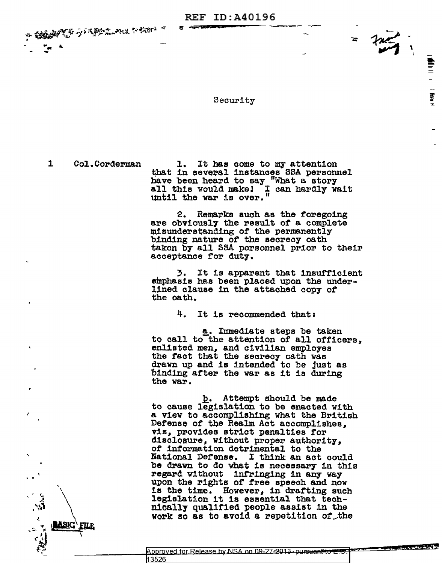**REF ID: A40196** 

**አልፈ**ል የአይችል አልፈለገ አይል አልፈል

Security

 $\mathbf{1}$ Col.Corderman

**ASIC' FILE** 

1. It has come to my attention that in several instances SSA personnel have been heard to say "What a story<br>all this would make! I can hardly wait<br>until the war is over." <u>Donald</u>

Ī

Remarks such as the foregoing  $2.$ are obviously the result of a complete misunderstanding of the permanently binding nature of the secrecy oath taken by all SSA personnel prior to their acceptance for duty.

3. It is apparent that insufficient emphasis has been placed upon the underlined clause in the attached copy of the oath.

> 4. It is recommended that:

a. Immediate steps be taken to call to the attention of all officers. enlisted men, and civilian employes the fact that the secrecy oath was drawn up and is intended to be just as binding after the war as it is during the war.

b. Attempt should be made to cause legislation to be enacted with a view to accomplishing what the British Defense of the Realm Act accomplishes. viz, provides strict penalties for disclosure, without proper authority, of information detrimental to the National Defense. I think an act could be drawn to do what is necessary in this regard without infringing in any way upon the rights of free speech and now is the time. However, in drafting such legislation it is essential that technically qualified people assist in the work so as to avoid a repetition of the